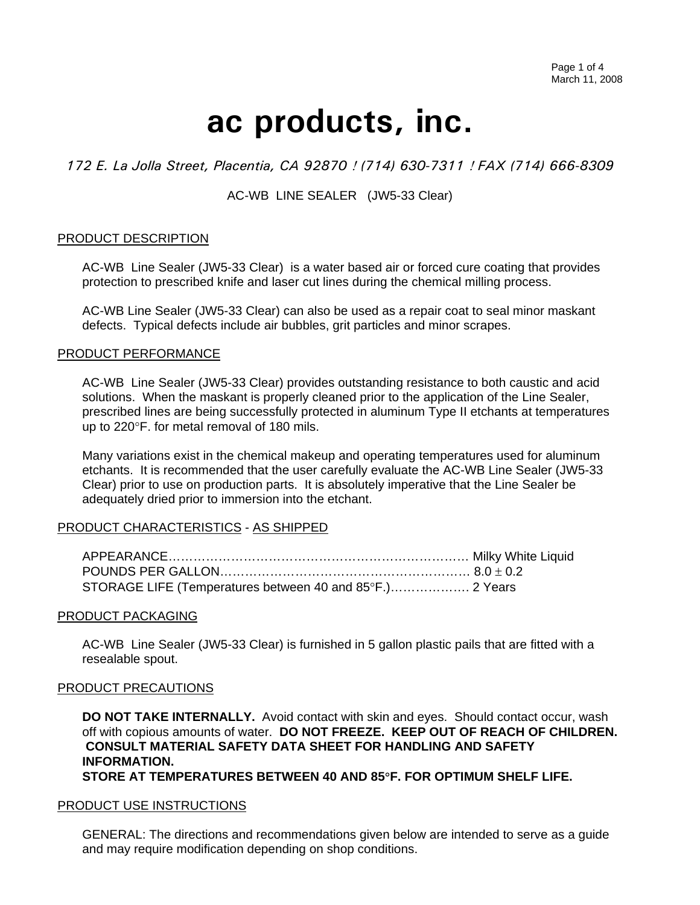# **ac products, inc.**

# *172 E. La Jolla Street, Placentia, CA 92870* ! *(714) 630-7311* ! *FAX (714) 666-8309*

# AC-WB LINE SEALER (JW5-33 Clear)

# PRODUCT DESCRIPTION

AC-WB Line Sealer (JW5-33 Clear) is a water based air or forced cure coating that provides protection to prescribed knife and laser cut lines during the chemical milling process.

AC-WB Line Sealer (JW5-33 Clear) can also be used as a repair coat to seal minor maskant defects. Typical defects include air bubbles, grit particles and minor scrapes.

# PRODUCT PERFORMANCE

AC-WB Line Sealer (JW5-33 Clear) provides outstanding resistance to both caustic and acid solutions. When the maskant is properly cleaned prior to the application of the Line Sealer, prescribed lines are being successfully protected in aluminum Type II etchants at temperatures up to 220°F. for metal removal of 180 mils.

Many variations exist in the chemical makeup and operating temperatures used for aluminum etchants. It is recommended that the user carefully evaluate the AC-WB Line Sealer (JW5-33 Clear) prior to use on production parts. It is absolutely imperative that the Line Sealer be adequately dried prior to immersion into the etchant.

# PRODUCT CHARACTERISTICS - AS SHIPPED

| STORAGE LIFE (Temperatures between 40 and 85°F.) 2 Years |  |
|----------------------------------------------------------|--|

# PRODUCT PACKAGING

AC-WB Line Sealer (JW5-33 Clear) is furnished in 5 gallon plastic pails that are fitted with a resealable spout.

# PRODUCT PRECAUTIONS

**DO NOT TAKE INTERNALLY.** Avoid contact with skin and eyes. Should contact occur, wash off with copious amounts of water. **DO NOT FREEZE. KEEP OUT OF REACH OF CHILDREN. CONSULT MATERIAL SAFETY DATA SHEET FOR HANDLING AND SAFETY INFORMATION. STORE AT TEMPERATURES BETWEEN 40 AND 85**°**F. FOR OPTIMUM SHELF LIFE.**

#### PRODUCT USE INSTRUCTIONS

GENERAL: The directions and recommendations given below are intended to serve as a guide and may require modification depending on shop conditions.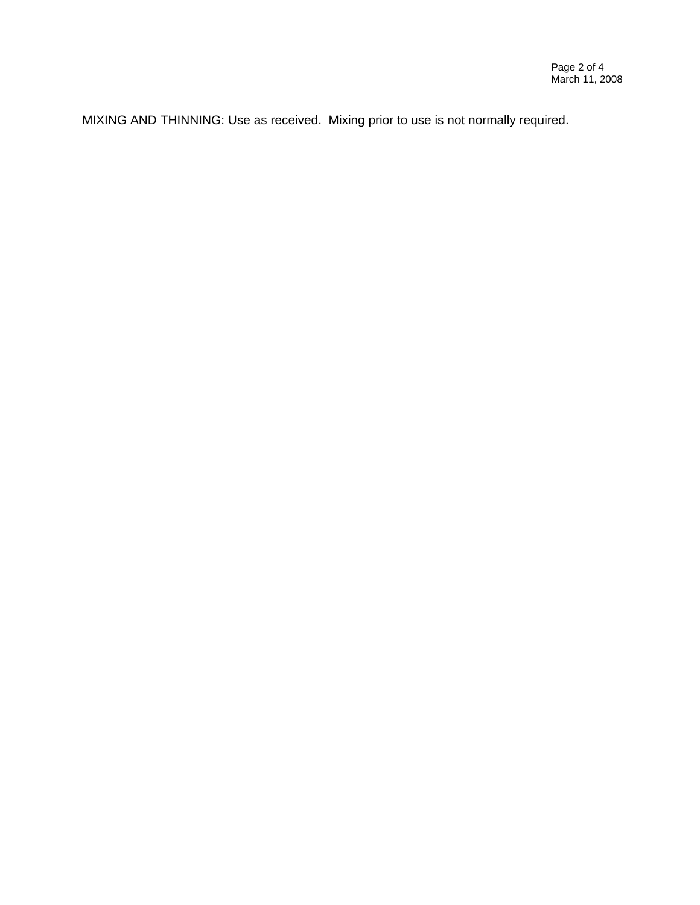MIXING AND THINNING: Use as received. Mixing prior to use is not normally required.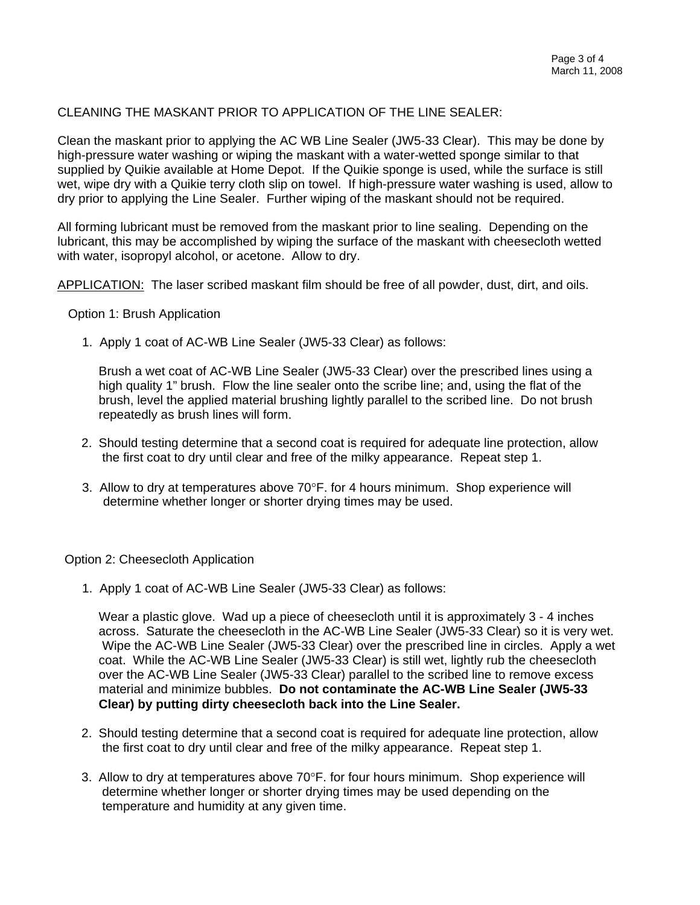# CLEANING THE MASKANT PRIOR TO APPLICATION OF THE LINE SEALER:

Clean the maskant prior to applying the AC WB Line Sealer (JW5-33 Clear). This may be done by high-pressure water washing or wiping the maskant with a water-wetted sponge similar to that supplied by Quikie available at Home Depot. If the Quikie sponge is used, while the surface is still wet, wipe dry with a Quikie terry cloth slip on towel. If high-pressure water washing is used, allow to dry prior to applying the Line Sealer. Further wiping of the maskant should not be required.

All forming lubricant must be removed from the maskant prior to line sealing. Depending on the lubricant, this may be accomplished by wiping the surface of the maskant with cheesecloth wetted with water, isopropyl alcohol, or acetone. Allow to dry.

APPLICATION: The laser scribed maskant film should be free of all powder, dust, dirt, and oils.

Option 1: Brush Application

1. Apply 1 coat of AC-WB Line Sealer (JW5-33 Clear) as follows:

Brush a wet coat of AC-WB Line Sealer (JW5-33 Clear) over the prescribed lines using a high quality 1" brush. Flow the line sealer onto the scribe line; and, using the flat of the brush, level the applied material brushing lightly parallel to the scribed line. Do not brush repeatedly as brush lines will form.

- 2. Should testing determine that a second coat is required for adequate line protection, allow the first coat to dry until clear and free of the milky appearance. Repeat step 1.
- 3. Allow to dry at temperatures above 70°F. for 4 hours minimum. Shop experience will determine whether longer or shorter drying times may be used.

# Option 2: Cheesecloth Application

1. Apply 1 coat of AC-WB Line Sealer (JW5-33 Clear) as follows:

Wear a plastic glove. Wad up a piece of cheesecloth until it is approximately 3 - 4 inches across. Saturate the cheesecloth in the AC-WB Line Sealer (JW5-33 Clear) so it is very wet. Wipe the AC-WB Line Sealer (JW5-33 Clear) over the prescribed line in circles. Apply a wet coat. While the AC-WB Line Sealer (JW5-33 Clear) is still wet, lightly rub the cheesecloth over the AC-WB Line Sealer (JW5-33 Clear) parallel to the scribed line to remove excess material and minimize bubbles. **Do not contaminate the AC-WB Line Sealer (JW5-33 Clear) by putting dirty cheesecloth back into the Line Sealer.**

- 2. Should testing determine that a second coat is required for adequate line protection, allow the first coat to dry until clear and free of the milky appearance. Repeat step 1.
- 3. Allow to dry at temperatures above  $70^{\circ}$  F. for four hours minimum. Shop experience will determine whether longer or shorter drying times may be used depending on the temperature and humidity at any given time.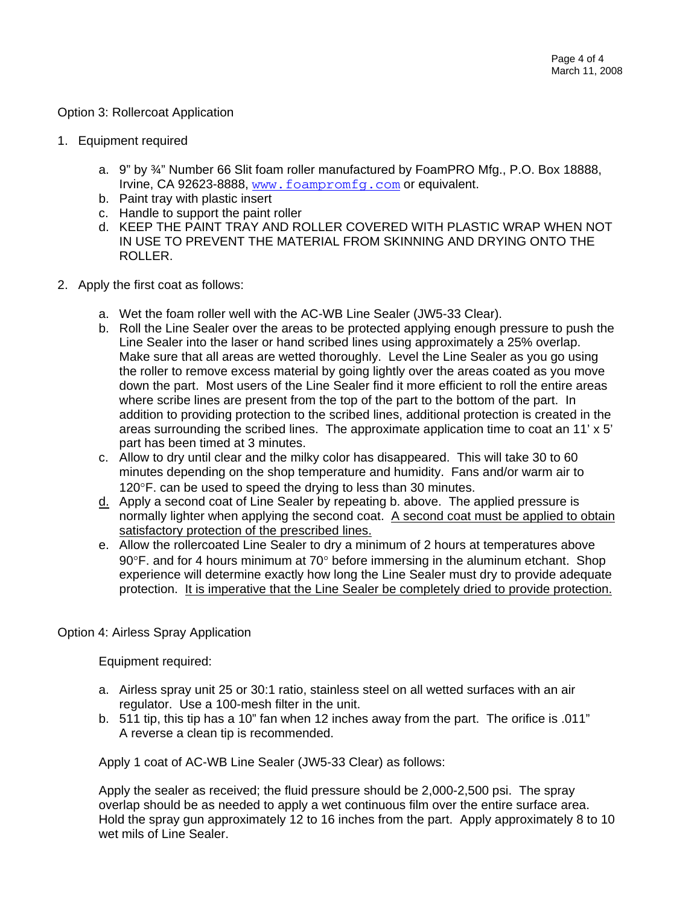### Option 3: Rollercoat Application

- 1. Equipment required
	- a. 9" by ¾" Number 66 Slit foam roller manufactured by FoamPRO Mfg., P.O. Box 18888, Irvine, CA 92623-8888, [www.foampromfg.com](http://www.foampromfg.com/) or equivalent.
	- b. Paint tray with plastic insert
	- c. Handle to support the paint roller
	- d. KEEP THE PAINT TRAY AND ROLLER COVERED WITH PLASTIC WRAP WHEN NOT IN USE TO PREVENT THE MATERIAL FROM SKINNING AND DRYING ONTO THE ROLLER.
- 2. Apply the first coat as follows:
	- a. Wet the foam roller well with the AC-WB Line Sealer (JW5-33 Clear).
	- b. Roll the Line Sealer over the areas to be protected applying enough pressure to push the Line Sealer into the laser or hand scribed lines using approximately a 25% overlap. Make sure that all areas are wetted thoroughly. Level the Line Sealer as you go using the roller to remove excess material by going lightly over the areas coated as you move down the part. Most users of the Line Sealer find it more efficient to roll the entire areas where scribe lines are present from the top of the part to the bottom of the part. In addition to providing protection to the scribed lines, additional protection is created in the areas surrounding the scribed lines. The approximate application time to coat an  $11' \times 5'$ part has been timed at 3 minutes.
	- c. Allow to dry until clear and the milky color has disappeared. This will take 30 to 60 minutes depending on the shop temperature and humidity. Fans and/or warm air to 120°F. can be used to speed the drying to less than 30 minutes.
	- d. Apply a second coat of Line Sealer by repeating b. above. The applied pressure is normally lighter when applying the second coat. A second coat must be applied to obtain satisfactory protection of the prescribed lines.
	- e. Allow the rollercoated Line Sealer to dry a minimum of 2 hours at temperatures above 90°F. and for 4 hours minimum at 70° before immersing in the aluminum etchant. Shop experience will determine exactly how long the Line Sealer must dry to provide adequate protection. It is imperative that the Line Sealer be completely dried to provide protection.

# Option 4: Airless Spray Application

Equipment required:

- a. Airless spray unit 25 or 30:1 ratio, stainless steel on all wetted surfaces with an air regulator. Use a 100-mesh filter in the unit.
- b. 511 tip, this tip has a 10" fan when 12 inches away from the part. The orifice is .011" A reverse a clean tip is recommended.

Apply 1 coat of AC-WB Line Sealer (JW5-33 Clear) as follows:

Apply the sealer as received; the fluid pressure should be 2,000-2,500 psi. The spray overlap should be as needed to apply a wet continuous film over the entire surface area. Hold the spray gun approximately 12 to 16 inches from the part. Apply approximately 8 to 10 wet mils of Line Sealer.